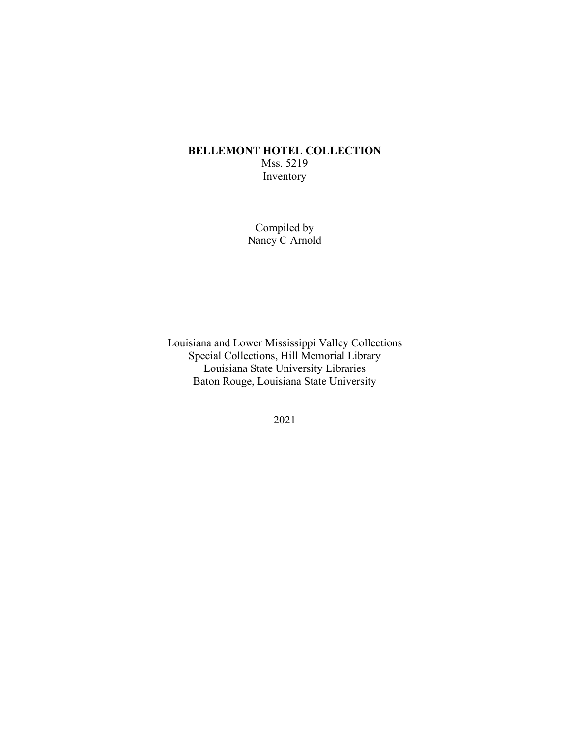## **BELLEMONT HOTEL COLLECTION** Mss. 5219 Inventory

Compiled by Nancy C Arnold

Louisiana and Lower Mississippi Valley Collections Special Collections, Hill Memorial Library Louisiana State University Libraries Baton Rouge, Louisiana State University

2021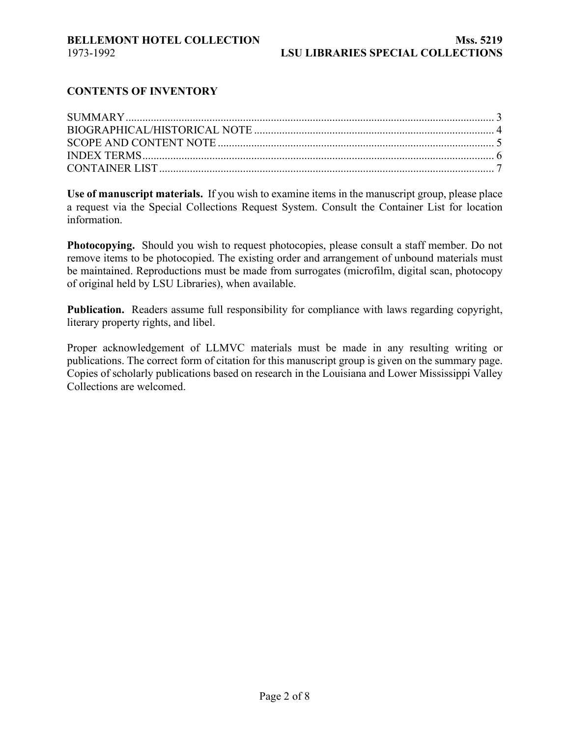## **CONTENTS OF INVENTORY**

**Use of manuscript materials.** If you wish to examine items in the manuscript group, please place a request via the Special Collections Request System. Consult the Container List for location information.

**Photocopying.** Should you wish to request photocopies, please consult a staff member. Do not remove items to be photocopied. The existing order and arrangement of unbound materials must be maintained. Reproductions must be made from surrogates (microfilm, digital scan, photocopy of original held by LSU Libraries), when available.

**Publication.** Readers assume full responsibility for compliance with laws regarding copyright, literary property rights, and libel.

Proper acknowledgement of LLMVC materials must be made in any resulting writing or publications. The correct form of citation for this manuscript group is given on the summary page. Copies of scholarly publications based on research in the Louisiana and Lower Mississippi Valley Collections are welcomed.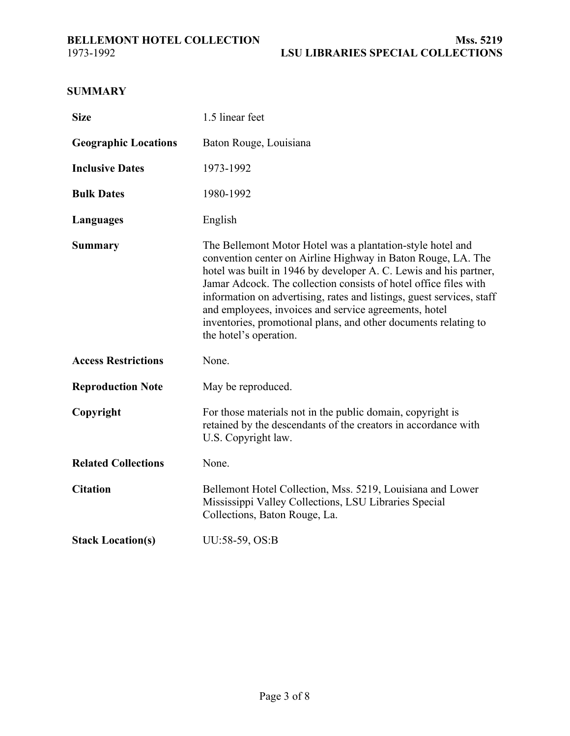# <span id="page-2-0"></span>**SUMMARY**

| <b>Size</b>                 | 1.5 linear feet                                                                                                                                                                                                                                                                                                                                                                                                                                                                                    |
|-----------------------------|----------------------------------------------------------------------------------------------------------------------------------------------------------------------------------------------------------------------------------------------------------------------------------------------------------------------------------------------------------------------------------------------------------------------------------------------------------------------------------------------------|
| <b>Geographic Locations</b> | Baton Rouge, Louisiana                                                                                                                                                                                                                                                                                                                                                                                                                                                                             |
| <b>Inclusive Dates</b>      | 1973-1992                                                                                                                                                                                                                                                                                                                                                                                                                                                                                          |
| <b>Bulk Dates</b>           | 1980-1992                                                                                                                                                                                                                                                                                                                                                                                                                                                                                          |
| Languages                   | English                                                                                                                                                                                                                                                                                                                                                                                                                                                                                            |
| <b>Summary</b>              | The Bellemont Motor Hotel was a plantation-style hotel and<br>convention center on Airline Highway in Baton Rouge, LA. The<br>hotel was built in 1946 by developer A. C. Lewis and his partner,<br>Jamar Adcock. The collection consists of hotel office files with<br>information on advertising, rates and listings, guest services, staff<br>and employees, invoices and service agreements, hotel<br>inventories, promotional plans, and other documents relating to<br>the hotel's operation. |
| <b>Access Restrictions</b>  | None.                                                                                                                                                                                                                                                                                                                                                                                                                                                                                              |
| <b>Reproduction Note</b>    | May be reproduced.                                                                                                                                                                                                                                                                                                                                                                                                                                                                                 |
| Copyright                   | For those materials not in the public domain, copyright is<br>retained by the descendants of the creators in accordance with<br>U.S. Copyright law.                                                                                                                                                                                                                                                                                                                                                |
| <b>Related Collections</b>  | None.                                                                                                                                                                                                                                                                                                                                                                                                                                                                                              |
| <b>Citation</b>             | Bellemont Hotel Collection, Mss. 5219, Louisiana and Lower<br>Mississippi Valley Collections, LSU Libraries Special<br>Collections, Baton Rouge, La.                                                                                                                                                                                                                                                                                                                                               |
| <b>Stack Location(s)</b>    | UU:58-59, OS:B                                                                                                                                                                                                                                                                                                                                                                                                                                                                                     |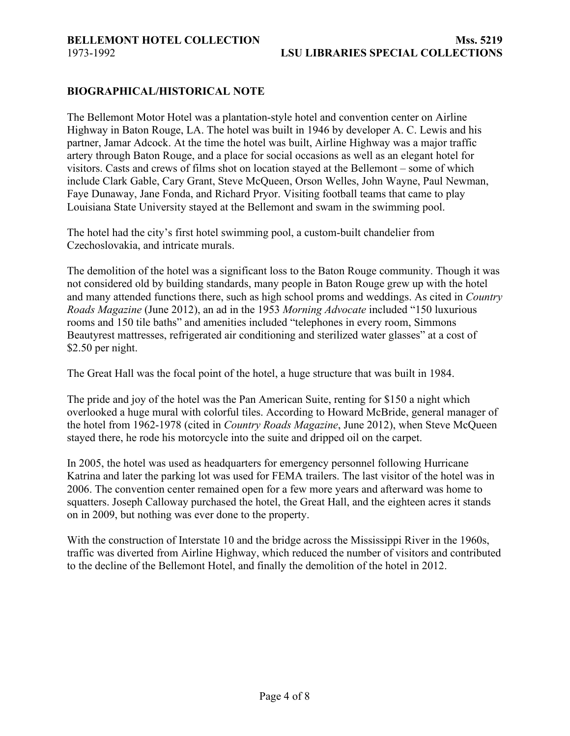#### <span id="page-3-0"></span>**BIOGRAPHICAL/HISTORICAL NOTE**

The Bellemont Motor Hotel was a plantation-style hotel and convention center on Airline Highway in Baton Rouge, LA. The hotel was built in 1946 by developer A. C. Lewis and his partner, Jamar Adcock. At the time the hotel was built, Airline Highway was a major traffic artery through Baton Rouge, and a place for social occasions as well as an elegant hotel for visitors. Casts and crews of films shot on location stayed at the Bellemont – some of which include Clark Gable, Cary Grant, Steve McQueen, Orson Welles, John Wayne, Paul Newman, Faye Dunaway, Jane Fonda, and Richard Pryor. Visiting football teams that came to play Louisiana State University stayed at the Bellemont and swam in the swimming pool.

The hotel had the city's first hotel swimming pool, a custom-built chandelier from Czechoslovakia, and intricate murals.

The demolition of the hotel was a significant loss to the Baton Rouge community. Though it was not considered old by building standards, many people in Baton Rouge grew up with the hotel and many attended functions there, such as high school proms and weddings. As cited in *Country Roads Magazine* (June 2012), an ad in the 1953 *Morning Advocate* included "150 luxurious rooms and 150 tile baths" and amenities included "telephones in every room, Simmons Beautyrest mattresses, refrigerated air conditioning and sterilized water glasses" at a cost of \$2.50 per night.

The Great Hall was the focal point of the hotel, a huge structure that was built in 1984.

The pride and joy of the hotel was the Pan American Suite, renting for \$150 a night which overlooked a huge mural with colorful tiles. According to Howard McBride, general manager of the hotel from 1962-1978 (cited in *Country Roads Magazine*, June 2012), when Steve McQueen stayed there, he rode his motorcycle into the suite and dripped oil on the carpet.

In 2005, the hotel was used as headquarters for emergency personnel following Hurricane Katrina and later the parking lot was used for FEMA trailers. The last visitor of the hotel was in 2006. The convention center remained open for a few more years and afterward was home to squatters. Joseph Calloway purchased the hotel, the Great Hall, and the eighteen acres it stands on in 2009, but nothing was ever done to the property.

With the construction of Interstate 10 and the bridge across the Mississippi River in the 1960s, traffic was diverted from Airline Highway, which reduced the number of visitors and contributed to the decline of the Bellemont Hotel, and finally the demolition of the hotel in 2012.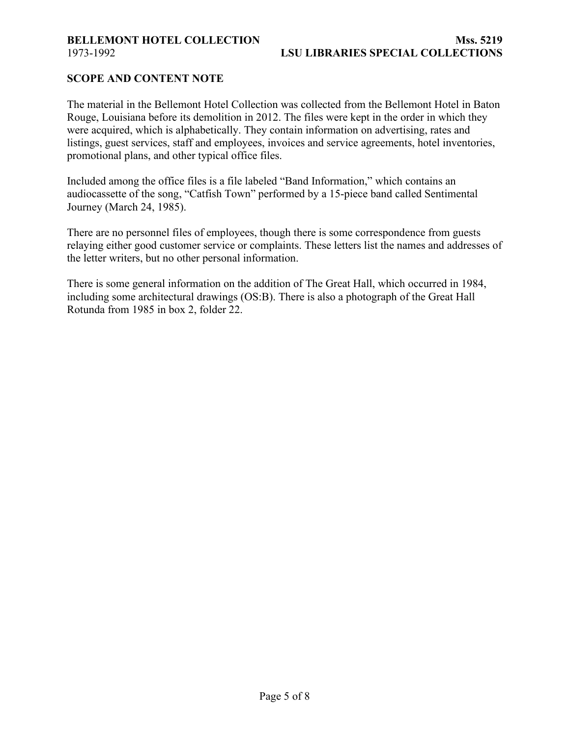## <span id="page-4-0"></span>**SCOPE AND CONTENT NOTE**

The material in the Bellemont Hotel Collection was collected from the Bellemont Hotel in Baton Rouge, Louisiana before its demolition in 2012. The files were kept in the order in which they were acquired, which is alphabetically. They contain information on advertising, rates and listings, guest services, staff and employees, invoices and service agreements, hotel inventories, promotional plans, and other typical office files.

Included among the office files is a file labeled "Band Information," which contains an audiocassette of the song, "Catfish Town" performed by a 15-piece band called Sentimental Journey (March 24, 1985).

There are no personnel files of employees, though there is some correspondence from guests relaying either good customer service or complaints. These letters list the names and addresses of the letter writers, but no other personal information.

There is some general information on the addition of The Great Hall, which occurred in 1984, including some architectural drawings (OS:B). There is also a photograph of the Great Hall Rotunda from 1985 in box 2, folder 22.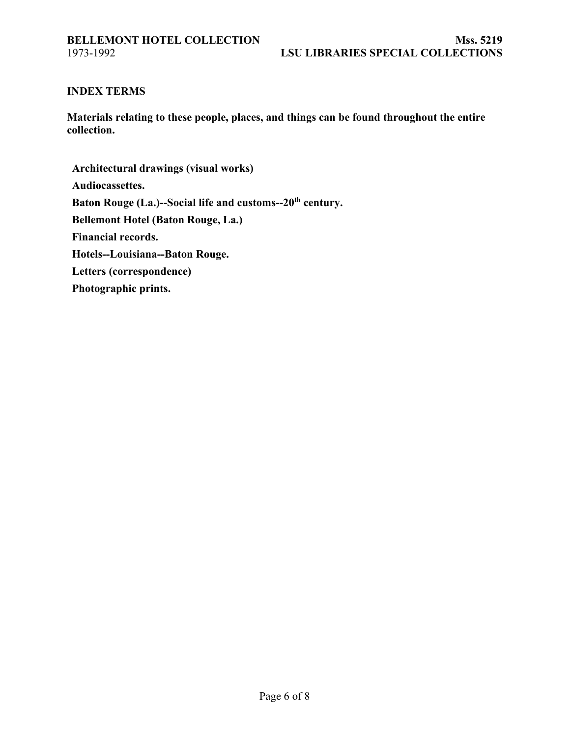#### <span id="page-5-0"></span>**INDEX TERMS**

**Materials relating to these people, places, and things can be found throughout the entire collection.**

**Architectural drawings (visual works) Audiocassettes.** Baton Rouge (La.)--Social life and customs--20<sup>th</sup> century. **Bellemont Hotel (Baton Rouge, La.) Financial records. Hotels--Louisiana--Baton Rouge. Letters (correspondence) Photographic prints.**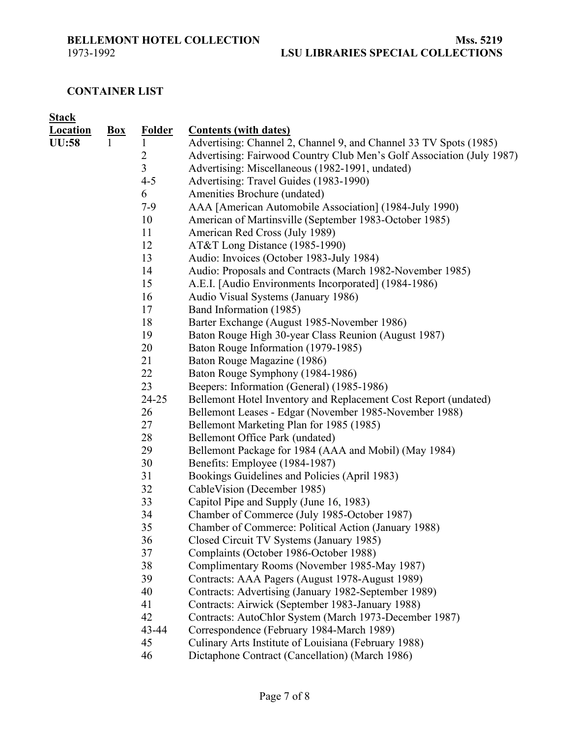<span id="page-6-0"></span>

# **CONTAINER LIST**

| <b>Stack</b>    |       |                |                                                                       |
|-----------------|-------|----------------|-----------------------------------------------------------------------|
| <b>Location</b> | $Box$ | <b>Folder</b>  | <b>Contents (with dates)</b>                                          |
| <b>UU:58</b>    |       | $\mathbf{1}$   | Advertising: Channel 2, Channel 9, and Channel 33 TV Spots (1985)     |
|                 |       | $\overline{c}$ | Advertising: Fairwood Country Club Men's Golf Association (July 1987) |
|                 |       | 3              | Advertising: Miscellaneous (1982-1991, undated)                       |
|                 |       | $4 - 5$        | Advertising: Travel Guides (1983-1990)                                |
|                 |       | 6              | Amenities Brochure (undated)                                          |
|                 |       | $7-9$          | AAA [American Automobile Association] (1984-July 1990)                |
|                 |       | 10             | American of Martinsville (September 1983-October 1985)                |
|                 |       | 11             | American Red Cross (July 1989)                                        |
|                 |       | 12             | AT&T Long Distance (1985-1990)                                        |
|                 |       | 13             | Audio: Invoices (October 1983-July 1984)                              |
|                 |       | 14             | Audio: Proposals and Contracts (March 1982-November 1985)             |
|                 |       | 15             | A.E.I. [Audio Environments Incorporated] (1984-1986)                  |
|                 |       | 16             | Audio Visual Systems (January 1986)                                   |
|                 |       | 17             | Band Information (1985)                                               |
|                 |       | 18             | Barter Exchange (August 1985-November 1986)                           |
|                 |       | 19             | Baton Rouge High 30-year Class Reunion (August 1987)                  |
|                 |       | 20             | Baton Rouge Information (1979-1985)                                   |
|                 |       | 21             | Baton Rouge Magazine (1986)                                           |
|                 |       | 22             | Baton Rouge Symphony (1984-1986)                                      |
|                 |       | 23             | Beepers: Information (General) (1985-1986)                            |
|                 |       | $24 - 25$      | Bellemont Hotel Inventory and Replacement Cost Report (undated)       |
|                 |       | 26             | Bellemont Leases - Edgar (November 1985-November 1988)                |
|                 |       | 27             | Bellemont Marketing Plan for 1985 (1985)                              |
|                 |       | 28             | Bellemont Office Park (undated)                                       |
|                 |       | 29             | Bellemont Package for 1984 (AAA and Mobil) (May 1984)                 |
|                 |       | 30             | Benefits: Employee (1984-1987)                                        |
|                 |       | 31             | Bookings Guidelines and Policies (April 1983)                         |
|                 |       | 32             | CableVision (December 1985)                                           |
|                 |       | 33             | Capitol Pipe and Supply (June 16, 1983)                               |
|                 |       | 34             | Chamber of Commerce (July 1985-October 1987)                          |
|                 |       | 35             | Chamber of Commerce: Political Action (January 1988)                  |
|                 |       | 36             | Closed Circuit TV Systems (January 1985)                              |
|                 |       | 37             | Complaints (October 1986-October 1988)                                |
|                 |       | 38             | Complimentary Rooms (November 1985-May 1987)                          |
|                 |       | 39             | Contracts: AAA Pagers (August 1978-August 1989)                       |
|                 |       | 40             | Contracts: Advertising (January 1982-September 1989)                  |
|                 |       | 41             | Contracts: Airwick (September 1983-January 1988)                      |
|                 |       | 42             | Contracts: AutoChlor System (March 1973-December 1987)                |
|                 |       | 43-44          | Correspondence (February 1984-March 1989)                             |
|                 |       | 45             | Culinary Arts Institute of Louisiana (February 1988)                  |
|                 |       | 46             | Dictaphone Contract (Cancellation) (March 1986)                       |